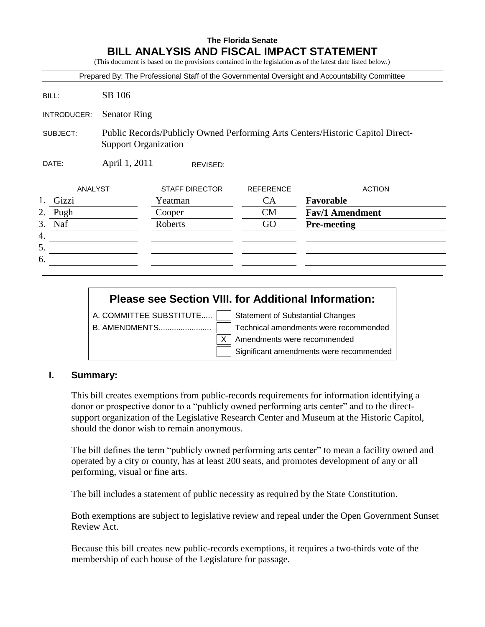### **The Florida Senate BILL ANALYSIS AND FISCAL IMPACT STATEMENT**

(This document is based on the provisions contained in the legislation as of the latest date listed below.)

|                |                             |                       |                  | Prepared By: The Professional Staff of the Governmental Oversight and Accountability Committee |  |  |
|----------------|-----------------------------|-----------------------|------------------|------------------------------------------------------------------------------------------------|--|--|
| BILL:          | SB 106                      |                       |                  |                                                                                                |  |  |
| INTRODUCER:    | <b>Senator Ring</b>         |                       |                  |                                                                                                |  |  |
| SUBJECT:       | <b>Support Organization</b> |                       |                  | Public Records/Publicly Owned Performing Arts Centers/Historic Capitol Direct-                 |  |  |
| DATE:          | April 1, 2011<br>REVISED:   |                       |                  |                                                                                                |  |  |
| <b>ANALYST</b> |                             | <b>STAFF DIRECTOR</b> | <b>REFERENCE</b> | <b>ACTION</b>                                                                                  |  |  |
| 1.<br>Gizzi    |                             | Yeatman               | <b>CA</b>        | Favorable                                                                                      |  |  |
| 2.<br>Pugh     |                             | Cooper                | <b>CM</b>        | <b>Fav/1 Amendment</b>                                                                         |  |  |
| 3.<br>Naf      |                             | Roberts               | GO               | <b>Pre-meeting</b>                                                                             |  |  |
| 4.             |                             |                       |                  |                                                                                                |  |  |
| 5.             |                             |                       |                  |                                                                                                |  |  |
| 6.             |                             |                       |                  |                                                                                                |  |  |

# **Please see Section VIII. for Additional Information:** A. COMMITTEE SUBSTITUTE..... Statement of Substantial Changes

B. AMENDMENTS........................ Technical amendments were recommended  $X$  | Amendments were recommended

Significant amendments were recommended

### **I. Summary:**

This bill creates exemptions from public-records requirements for information identifying a donor or prospective donor to a "publicly owned performing arts center" and to the directsupport organization of the Legislative Research Center and Museum at the Historic Capitol, should the donor wish to remain anonymous.

The bill defines the term "publicly owned performing arts center" to mean a facility owned and operated by a city or county, has at least 200 seats, and promotes development of any or all performing, visual or fine arts.

The bill includes a statement of public necessity as required by the State Constitution.

Both exemptions are subject to legislative review and repeal under the Open Government Sunset Review Act.

Because this bill creates new public-records exemptions, it requires a two-thirds vote of the membership of each house of the Legislature for passage.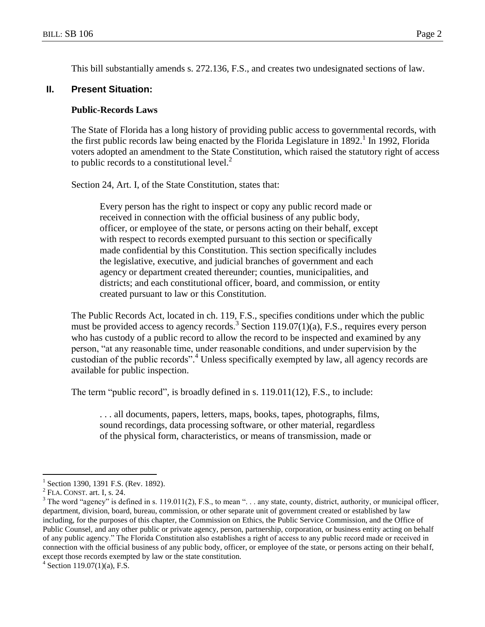This bill substantially amends s. 272.136, F.S., and creates two undesignated sections of law.

#### **II. Present Situation:**

#### **Public-Records Laws**

The State of Florida has a long history of providing public access to governmental records, with the first public records law being enacted by the Florida Legislature in 1892.<sup>1</sup> In 1992, Florida voters adopted an amendment to the State Constitution, which raised the statutory right of access to public records to a constitutional level. $<sup>2</sup>$ </sup>

Section 24, Art. I, of the State Constitution, states that:

Every person has the right to inspect or copy any public record made or received in connection with the official business of any public body, officer, or employee of the state, or persons acting on their behalf, except with respect to records exempted pursuant to this section or specifically made confidential by this Constitution. This section specifically includes the legislative, executive, and judicial branches of government and each agency or department created thereunder; counties, municipalities, and districts; and each constitutional officer, board, and commission, or entity created pursuant to law or this Constitution.

The Public Records Act, located in ch. 119, F.S., specifies conditions under which the public must be provided access to agency records.<sup>3</sup> Section 119.07(1)(a), F.S., requires every person who has custody of a public record to allow the record to be inspected and examined by any person, "at any reasonable time, under reasonable conditions, and under supervision by the custodian of the public records".<sup>4</sup> Unless specifically exempted by law, all agency records are available for public inspection.

The term "public record", is broadly defined in s. 119.011(12), F.S., to include:

. . . all documents, papers, letters, maps, books, tapes, photographs, films, sound recordings, data processing software, or other material, regardless of the physical form, characteristics, or means of transmission, made or

<sup>1</sup> Section 1390, 1391 F.S. (Rev. 1892).

 $<sup>2</sup>$  FLA. CONST. art. I, s. 24.</sup>

 $3$  The word "agency" is defined in s. 119.011(2), F.S., to mean "... any state, county, district, authority, or municipal officer, department, division, board, bureau, commission, or other separate unit of government created or established by law including, for the purposes of this chapter, the Commission on Ethics, the Public Service Commission, and the Office of Public Counsel, and any other public or private agency, person, partnership, corporation, or business entity acting on behalf of any public agency." The Florida Constitution also establishes a right of access to any public record made or received in connection with the official business of any public body, officer, or employee of the state, or persons acting on their behalf, except those records exempted by law or the state constitution.

 $4$  Section 119.07(1)(a), F.S.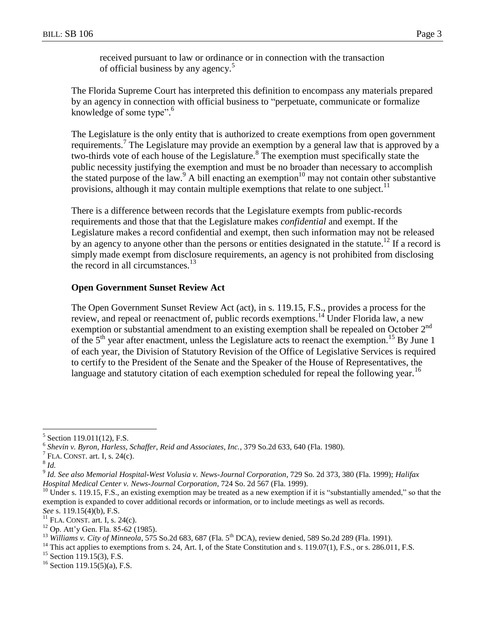received pursuant to law or ordinance or in connection with the transaction of official business by any agency.<sup>5</sup>

The Florida Supreme Court has interpreted this definition to encompass any materials prepared by an agency in connection with official business to "perpetuate, communicate or formalize knowledge of some type". 6

The Legislature is the only entity that is authorized to create exemptions from open government requirements.<sup>7</sup> The Legislature may provide an exemption by a general law that is approved by a two-thirds vote of each house of the Legislature.<sup>8</sup> The exemption must specifically state the public necessity justifying the exemption and must be no broader than necessary to accomplish the stated purpose of the law.<sup>9</sup> A bill enacting an exemption<sup>10</sup> may not contain other substantive provisions, although it may contain multiple exemptions that relate to one subject.<sup>11</sup>

There is a difference between records that the Legislature exempts from public-records requirements and those that that the Legislature makes *confidential* and exempt. If the Legislature makes a record confidential and exempt, then such information may not be released by an agency to anyone other than the persons or entities designated in the statute.<sup>12</sup> If a record is simply made exempt from disclosure requirements, an agency is not prohibited from disclosing the record in all circumstances.<sup>13</sup>

### **Open Government Sunset Review Act**

The Open Government Sunset Review Act (act), in s. 119.15, F.S., provides a process for the review, and repeal or reenactment of, public records exemptions.<sup>14</sup> Under Florida law, a new exemption or substantial amendment to an existing exemption shall be repealed on October 2<sup>nd</sup> of the  $5<sup>th</sup>$  year after enactment, unless the Legislature acts to reenact the exemption.<sup>15</sup> By June 1 of each year, the Division of Statutory Revision of the Office of Legislative Services is required to certify to the President of the Senate and the Speaker of the House of Representatives, the language and statutory citation of each exemption scheduled for repeal the following year.<sup>16</sup>

<sup>5</sup> Section 119.011(12), F.S.

<sup>&</sup>lt;sup>6</sup> Shevin v. Byron, Harless, Schaffer, Reid and Associates, Inc., 379 So.2d 633, 640 (Fla. 1980).

FLA. CONST. art. I, s. 24(c).

<sup>8</sup> *Id.*

<sup>9</sup> *Id. See also Memorial Hospital-West Volusia v. News-Journal Corporation*, 729 So. 2d 373, 380 (Fla. 1999); *Halifax Hospital Medical Center v. News-Journal Corporation*, 724 So. 2d 567 (Fla. 1999).

 $10$  Under s. 119.15, F.S., an existing exemption may be treated as a new exemption if it is "substantially amended," so that the exemption is expanded to cover additional records or information, or to include meetings as well as records. *See* s. 119.15(4)(b), F.S.

 $11$  FLA. CONST. art. I, s. 24(c).

<sup>12</sup> Op. Att'y Gen. Fla. 85-62 (1985).

<sup>&</sup>lt;sup>13</sup> *Williams v. City of Minneola*, 575 So.2d 683, 687 (Fla. 5<sup>th</sup> DCA), review denied, 589 So.2d 289 (Fla. 1991).

 $14$  This act applies to exemptions from s. 24, Art. I, of the State Constitution and s. 119.07(1), F.S., or s. 286.011, F.S.

 $15$  Section 119.15(3), F.S.

 $16$  Section 119.15(5)(a), F.S.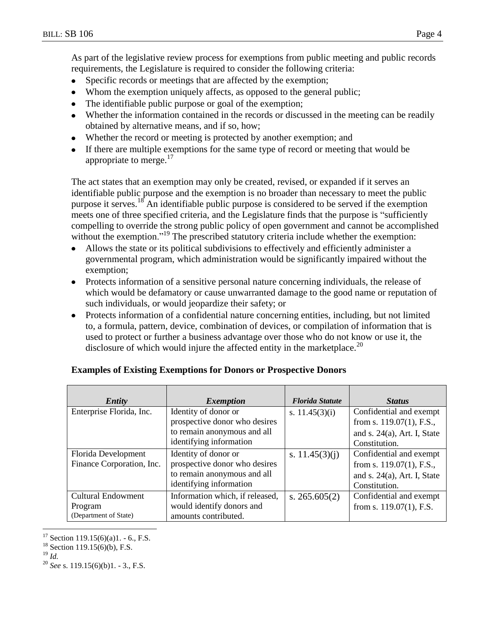As part of the legislative review process for exemptions from public meeting and public records requirements, the Legislature is required to consider the following criteria:

- $\bullet$ Specific records or meetings that are affected by the exemption;
- Whom the exemption uniquely affects, as opposed to the general public;
- The identifiable public purpose or goal of the exemption;  $\bullet$
- Whether the information contained in the records or discussed in the meeting can be readily  $\bullet$ obtained by alternative means, and if so, how;
- Whether the record or meeting is protected by another exemption; and
- If there are multiple exemptions for the same type of record or meeting that would be appropriate to merge. $17$

The act states that an exemption may only be created, revised, or expanded if it serves an identifiable public purpose and the exemption is no broader than necessary to meet the public purpose it serves.<sup>18</sup> An identifiable public purpose is considered to be served if the exemption meets one of three specified criteria, and the Legislature finds that the purpose is "sufficiently compelling to override the strong public policy of open government and cannot be accomplished without the exemption."<sup>19</sup> The prescribed statutory criteria include whether the exemption:

- Allows the state or its political subdivisions to effectively and efficiently administer a governmental program, which administration would be significantly impaired without the exemption;
- $\bullet$ Protects information of a sensitive personal nature concerning individuals, the release of which would be defamatory or cause unwarranted damage to the good name or reputation of such individuals, or would jeopardize their safety; or
- Protects information of a confidential nature concerning entities, including, but not limited to, a formula, pattern, device, combination of devices, or compilation of information that is used to protect or further a business advantage over those who do not know or use it, the disclosure of which would injure the affected entity in the marketplace.<sup>20</sup>

| Entity                                                        | <i>Exemption</i>                                                                                                | <b>Florida Statute</b> | <b>Status</b>                                                                                             |
|---------------------------------------------------------------|-----------------------------------------------------------------------------------------------------------------|------------------------|-----------------------------------------------------------------------------------------------------------|
| Enterprise Florida, Inc.                                      | Identity of donor or<br>prospective donor who desires<br>to remain anonymous and all<br>identifying information | s. $11.45(3)(i)$       | Confidential and exempt<br>from s. $119.07(1)$ , F.S.,<br>and s. $24(a)$ , Art. I, State<br>Constitution. |
| Florida Development<br>Finance Corporation, Inc.              | Identity of donor or<br>prospective donor who desires<br>to remain anonymous and all<br>identifying information | s. $11.45(3)(i)$       | Confidential and exempt<br>from s. $119.07(1)$ , F.S.,<br>and s. $24(a)$ , Art. I, State<br>Constitution. |
| <b>Cultural Endowment</b><br>Program<br>(Department of State) | Information which, if released,<br>would identify donors and<br>amounts contributed.                            | s. $265.605(2)$        | Confidential and exempt<br>from s. $119.07(1)$ , F.S.                                                     |

#### **Examples of Existing Exemptions for Donors or Prospective Donors**

 $17$  Section 119.15(6)(a)1. - 6., F.S.

<sup>&</sup>lt;sup>18</sup> Section 119.15(6)(b), F.S.

 $^{19}$  *Id.* 

<sup>20</sup> *See* s. 119.15(6)(b)1. - 3., F.S.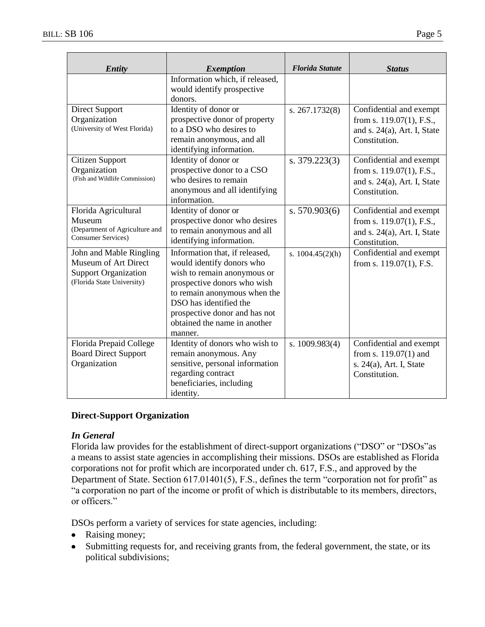| <b>Entity</b>                                                                                                | <b>Exemption</b>                                                                                                                                                                                                                                                | <b>Florida Statute</b> | <b>Status</b>                                                                                             |
|--------------------------------------------------------------------------------------------------------------|-----------------------------------------------------------------------------------------------------------------------------------------------------------------------------------------------------------------------------------------------------------------|------------------------|-----------------------------------------------------------------------------------------------------------|
|                                                                                                              | Information which, if released,<br>would identify prospective<br>donors.                                                                                                                                                                                        |                        |                                                                                                           |
| <b>Direct Support</b><br>Organization<br>(University of West Florida)                                        | Identity of donor or<br>prospective donor of property<br>to a DSO who desires to<br>remain anonymous, and all<br>identifying information.                                                                                                                       | s. 267.1732(8)         | Confidential and exempt<br>from s. 119.07(1), F.S.,<br>and s. $24(a)$ , Art. I, State<br>Constitution.    |
| Citizen Support<br>Organization<br>(Fish and Wildlife Commission)                                            | Identity of donor or<br>prospective donor to a CSO<br>who desires to remain<br>anonymous and all identifying<br>information.                                                                                                                                    | s. $379.223(3)$        | Confidential and exempt<br>from s. $119.07(1)$ , F.S.,<br>and s. $24(a)$ , Art. I, State<br>Constitution. |
| Florida Agricultural<br>Museum<br>(Department of Agriculture and<br><b>Consumer Services</b> )               | Identity of donor or<br>prospective donor who desires<br>to remain anonymous and all<br>identifying information.                                                                                                                                                | s. 570.903(6)          | Confidential and exempt<br>from s. $119.07(1)$ , F.S.,<br>and s. $24(a)$ , Art. I, State<br>Constitution. |
| John and Mable Ringling<br>Museum of Art Direct<br><b>Support Organization</b><br>(Florida State University) | Information that, if released,<br>would identify donors who<br>wish to remain anonymous or<br>prospective donors who wish<br>to remain anonymous when the<br>DSO has identified the<br>prospective donor and has not<br>obtained the name in another<br>manner. | s. $1004.45(2)(h)$     | Confidential and exempt<br>from s. 119.07(1), F.S.                                                        |
| Florida Prepaid College<br><b>Board Direct Support</b><br>Organization                                       | Identity of donors who wish to<br>remain anonymous. Any<br>sensitive, personal information<br>regarding contract<br>beneficiaries, including                                                                                                                    | s. $1009.983(4)$       | Confidential and exempt<br>from s. $119.07(1)$ and<br>s. 24(a), Art. I, State<br>Constitution.            |

#### **Direct-Support Organization**

#### *In General*

Florida law provides for the establishment of direct-support organizations ("DSO" or "DSOs"as a means to assist state agencies in accomplishing their missions. DSOs are established as Florida corporations not for profit which are incorporated under ch. 617, F.S., and approved by the Department of State. Section 617.01401(5), F.S., defines the term "corporation not for profit" as "a corporation no part of the income or profit of which is distributable to its members, directors, or officers."

DSOs perform a variety of services for state agencies, including:

identity.

- Raising money;
- Submitting requests for, and receiving grants from, the federal government, the state, or its  $\bullet$ political subdivisions;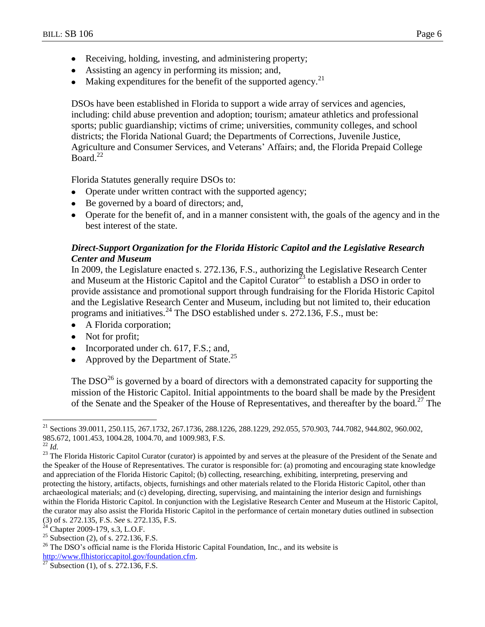- Receiving, holding, investing, and administering property;
- Assisting an agency in performing its mission; and,
- Making expenditures for the benefit of the supported agency.<sup>21</sup>

DSOs have been established in Florida to support a wide array of services and agencies, including: child abuse prevention and adoption; tourism; amateur athletics and professional sports; public guardianship; victims of crime; universities, community colleges, and school districts; the Florida National Guard; the Departments of Corrections, Juvenile Justice, Agriculture and Consumer Services, and Veterans' Affairs; and, the Florida Prepaid College Board. $^{22}$ 

Florida Statutes generally require DSOs to:

- Operate under written contract with the supported agency;
- Be governed by a board of directors; and,
- Operate for the benefit of, and in a manner consistent with, the goals of the agency and in the best interest of the state.

### *Direct-Support Organization for the Florida Historic Capitol and the Legislative Research Center and Museum*

In 2009, the Legislature enacted s. 272.136, F.S., authorizing the Legislative Research Center and Museum at the Historic Capitol and the Capitol Curator<sup>23</sup> to establish a DSO in order to provide assistance and promotional support through fundraising for the Florida Historic Capitol and the Legislative Research Center and Museum, including but not limited to, their education programs and initiatives.<sup>24</sup> The DSO established under s. 272.136, F.S., must be:

- A Florida corporation;
- Not for profit;
- Incorporated under ch. 617, F.S.; and,
- Approved by the Department of State.<sup>25</sup>

The  $DSO^{26}$  is governed by a board of directors with a demonstrated capacity for supporting the mission of the Historic Capitol. Initial appointments to the board shall be made by the President of the Senate and the Speaker of the House of Representatives, and thereafter by the board.<sup>27</sup> The

<sup>&</sup>lt;sup>21</sup> Sections 39.0011, 250.115, 267.1732, 267.1736, 288.1226, 288.1229, 292.055, 570.903, 744.7082, 944.802, 960.002, 985.672, 1001.453, 1004.28, 1004.70, and 1009.983, F.S.

<sup>22</sup> *Id.*

<sup>&</sup>lt;sup>23</sup> The Florida Historic Capitol Curator (curator) is appointed by and serves at the pleasure of the President of the Senate and the Speaker of the House of Representatives. The curator is responsible for: (a) promoting and encouraging state knowledge and appreciation of the Florida Historic Capitol; (b) collecting, researching, exhibiting, interpreting, preserving and protecting the history, artifacts, objects, furnishings and other materials related to the Florida Historic Capitol, other than archaeological materials; and (c) developing, directing, supervising, and maintaining the interior design and furnishings within the Florida Historic Capitol. In conjunction with the Legislative Research Center and Museum at the Historic Capitol, the curator may also assist the Florida Historic Capitol in the performance of certain monetary duties outlined in subsection (3) of s. 272.135, F.S. *See* s. 272.135, F.S.

 $24$  Chapter 2009-179, s.3, L.O.F.

<sup>&</sup>lt;sup>25</sup> Subsection (2), of s. 272.136, F.S.

 $26$  The DSO's official name is the Florida Historic Capital Foundation, Inc., and its website is [http://www.flhistoriccapitol.gov/foundation.cfm.](http://www.flhistoriccapitol.gov/foundation.cfm)

Subsection (1), of s. 272.136, F.S.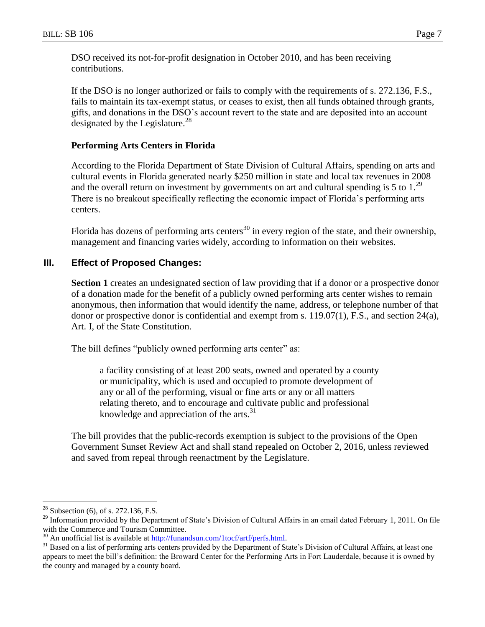DSO received its not-for-profit designation in October 2010, and has been receiving contributions.

If the DSO is no longer authorized or fails to comply with the requirements of s. 272.136, F.S., fails to maintain its tax-exempt status, or ceases to exist, then all funds obtained through grants, gifts, and donations in the DSO's account revert to the state and are deposited into an account designated by the Legislature.<sup>28</sup>

#### **Performing Arts Centers in Florida**

According to the Florida Department of State Division of Cultural Affairs, spending on arts and cultural events in Florida generated nearly \$250 million in state and local tax revenues in 2008 and the overall return on investment by governments on art and cultural spending is 5 to  $1.^{29}$ There is no breakout specifically reflecting the economic impact of Florida's performing arts centers.

Florida has dozens of performing arts centers<sup>30</sup> in every region of the state, and their ownership, management and financing varies widely, according to information on their websites.

#### **III. Effect of Proposed Changes:**

**Section 1** creates an undesignated section of law providing that if a donor or a prospective donor of a donation made for the benefit of a publicly owned performing arts center wishes to remain anonymous, then information that would identify the name, address, or telephone number of that donor or prospective donor is confidential and exempt from s. 119.07(1), F.S., and section 24(a), Art. I, of the State Constitution.

The bill defines "publicly owned performing arts center" as:

a facility consisting of at least 200 seats, owned and operated by a county or municipality, which is used and occupied to promote development of any or all of the performing, visual or fine arts or any or all matters relating thereto, and to encourage and cultivate public and professional knowledge and appreciation of the arts. $31$ 

The bill provides that the public-records exemption is subject to the provisions of the Open Government Sunset Review Act and shall stand repealed on October 2, 2016, unless reviewed and saved from repeal through reenactment by the Legislature.

 $28$  Subsection (6), of s. 272.136, F.S.

<sup>&</sup>lt;sup>29</sup> Information provided by the Department of State's Division of Cultural Affairs in an email dated February 1, 2011. On file with the Commerce and Tourism Committee.

 $30$  An unofficial list is available at [http://funandsun.com/1tocf/artf/perfs.html.](http://funandsun.com/1tocf/artf/perfs.html)

<sup>&</sup>lt;sup>31</sup> Based on a list of performing arts centers provided by the Department of State's Division of Cultural Affairs, at least one appears to meet the bill's definition: the Broward Center for the Performing Arts in Fort Lauderdale, because it is owned by the county and managed by a county board.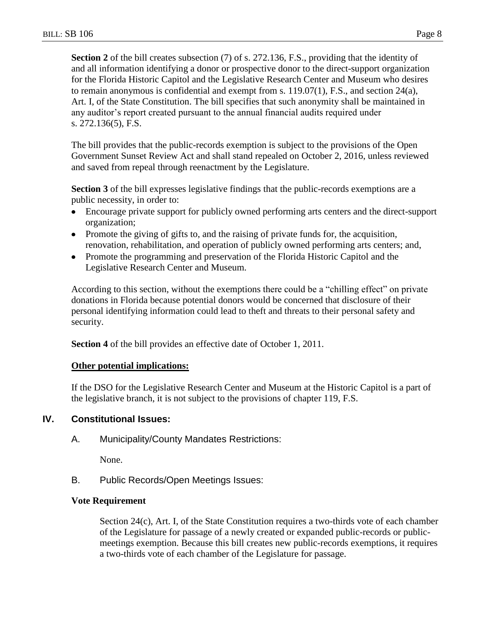**Section 2** of the bill creates subsection (7) of s. 272.136, F.S., providing that the identity of and all information identifying a donor or prospective donor to the direct-support organization for the Florida Historic Capitol and the Legislative Research Center and Museum who desires to remain anonymous is confidential and exempt from s. 119.07(1), F.S., and section 24(a), Art. I, of the State Constitution. The bill specifies that such anonymity shall be maintained in any auditor's report created pursuant to the annual financial audits required under s. 272.136(5), F.S.

The bill provides that the public-records exemption is subject to the provisions of the Open Government Sunset Review Act and shall stand repealed on October 2, 2016, unless reviewed and saved from repeal through reenactment by the Legislature.

**Section 3** of the bill expresses legislative findings that the public-records exemptions are a public necessity, in order to:

- Encourage private support for publicly owned performing arts centers and the direct-support  $\bullet$ organization;
- Promote the giving of gifts to, and the raising of private funds for, the acquisition, renovation, rehabilitation, and operation of publicly owned performing arts centers; and,
- Promote the programming and preservation of the Florida Historic Capitol and the Legislative Research Center and Museum.

According to this section, without the exemptions there could be a "chilling effect" on private donations in Florida because potential donors would be concerned that disclosure of their personal identifying information could lead to theft and threats to their personal safety and security.

**Section 4** of the bill provides an effective date of October 1, 2011.

#### **Other potential implications:**

If the DSO for the Legislative Research Center and Museum at the Historic Capitol is a part of the legislative branch, it is not subject to the provisions of chapter 119, F.S.

### **IV. Constitutional Issues:**

A. Municipality/County Mandates Restrictions:

None.

B. Public Records/Open Meetings Issues:

### **Vote Requirement**

Section 24(c), Art. I, of the State Constitution requires a two-thirds vote of each chamber of the Legislature for passage of a newly created or expanded public-records or publicmeetings exemption. Because this bill creates new public-records exemptions, it requires a two-thirds vote of each chamber of the Legislature for passage.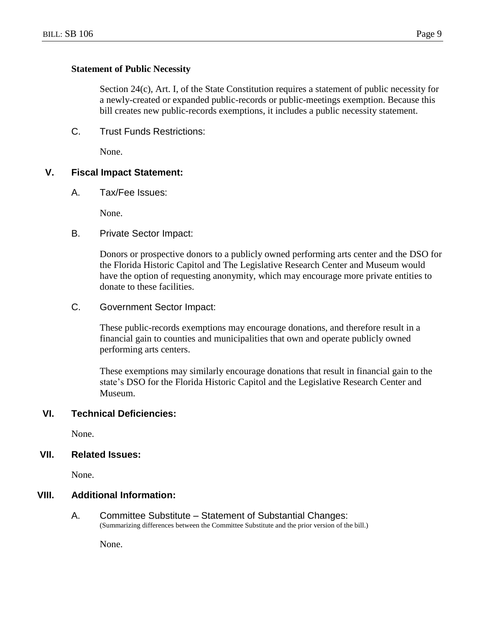#### **Statement of Public Necessity**

Section 24(c), Art. I, of the State Constitution requires a statement of public necessity for a newly-created or expanded public-records or public-meetings exemption. Because this bill creates new public-records exemptions, it includes a public necessity statement.

C. Trust Funds Restrictions:

None.

#### **V. Fiscal Impact Statement:**

A. Tax/Fee Issues:

None.

B. Private Sector Impact:

Donors or prospective donors to a publicly owned performing arts center and the DSO for the Florida Historic Capitol and The Legislative Research Center and Museum would have the option of requesting anonymity, which may encourage more private entities to donate to these facilities.

C. Government Sector Impact:

These public-records exemptions may encourage donations, and therefore result in a financial gain to counties and municipalities that own and operate publicly owned performing arts centers.

These exemptions may similarly encourage donations that result in financial gain to the state's DSO for the Florida Historic Capitol and the Legislative Research Center and Museum.

#### **VI. Technical Deficiencies:**

None.

#### **VII. Related Issues:**

None.

## **VIII. Additional Information:**

A. Committee Substitute – Statement of Substantial Changes: (Summarizing differences between the Committee Substitute and the prior version of the bill.)

None.